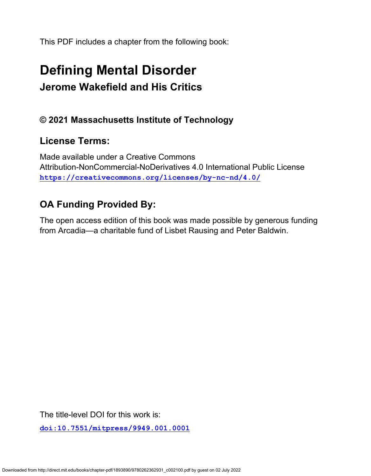This PDF includes a chapter from the following book:

# **Defining Mental Disorder Jerome Wakefield and His Critics**

### **© 2021 Massachusetts Institute of Technology**

## **License Terms:**

Made available under a Creative Commons Attribution-NonCommercial-NoDerivatives 4.0 International Public License **<https://creativecommons.org/licenses/by-nc-nd/4.0/>**

# **OA Funding Provided By:**

The open access edition of this book was made possible by generous funding from Arcadia—a charitable fund of Lisbet Rausing and Peter Baldwin.

The title-level DOI for this work is:

**[doi:10.7551/mitpress/9949.001.0001](https://doi.org/10.7551/mitpress/9949.001.0001)**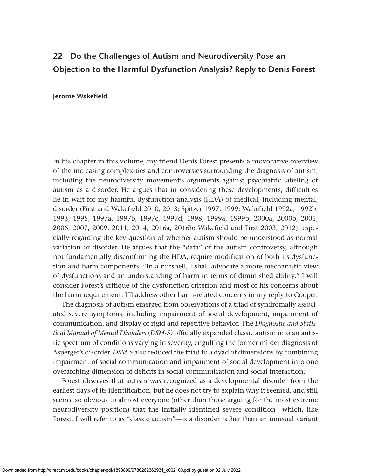### **22 Do the Challenges of Autism and Neurodiversity Pose an Objection to the Harmful Dysfunction Analysis? Reply to Denis Forest**

**Jerome Wakefield**

In his chapter in this volume, my friend Denis Forest presents a provocative overview of the increasing complexities and controversies surrounding the diagnosis of autism, including the neurodiversity movement's arguments against psychiatric labeling of autism as a disorder. He argues that in considering these developments, difficulties lie in wait for my harmful dysfunction analysis (HDA) of medical, including mental, disorder (First and Wakefield 2010, 2013; Spitzer 1997, 1999; Wakefield 1992a, 1992b, 1993, 1995, 1997a, 1997b, 1997c, 1997d, 1998, 1999a, 1999b, 2000a, 2000b, 2001, 2006, 2007, 2009, 2011, 2014, 2016a, 2016b; Wakefield and First 2003, 2012), especially regarding the key question of whether autism should be understood as normal variation or disorder. He argues that the "data" of the autism controversy, although not fundamentally disconfirming the HDA, require modification of both its dysfunction and harm components: "In a nutshell, I shall advocate a more mechanistic view of dysfunctions and an understanding of harm in terms of diminished ability." I will consider Forest's critique of the dysfunction criterion and most of his concerns about the harm requirement. I'll address other harm-related concerns in my reply to Cooper.

The diagnosis of autism emerged from observations of a triad of syndromally associated severe symptoms, including impairment of social development, impairment of communication, and display of rigid and repetitive behavior. The *Diagnostic and Statistical Manual of Mental Disorders* (*DSM-5)* officially expanded classic autism into an autistic spectrum of conditions varying in severity, engulfing the former milder diagnosis of Asperger's disorder. *DSM-5* also reduced the triad to a dyad of dimensions by combining impairment of social communication and impairment of social development into one overarching dimension of deficits in social communication and social interaction.

Forest observes that autism was recognized as a developmental disorder from the earliest days of its identification, but he does not try to explain why it seemed, and still seems, so obvious to almost everyone (other than those arguing for the most extreme neurodiversity position) that the initially identified severe condition—which, like Forest, I will refer to as "classic autism"—is a disorder rather than an unusual variant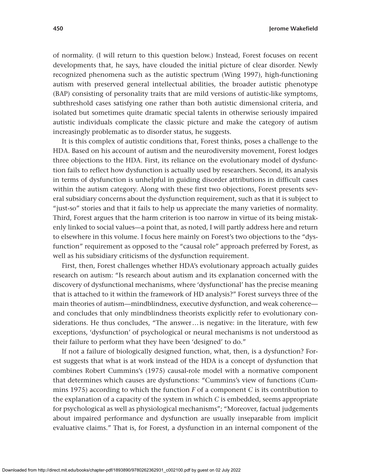of normality. (I will return to this question below.) Instead, Forest focuses on recent developments that, he says, have clouded the initial picture of clear disorder. Newly recognized phenomena such as the autistic spectrum (Wing 1997), high-functioning autism with preserved general intellectual abilities, the broader autistic phenotype (BAP) consisting of personality traits that are mild versions of autistic-like symptoms, subthreshold cases satisfying one rather than both autistic dimensional criteria, and isolated but sometimes quite dramatic special talents in otherwise seriously impaired autistic individuals complicate the classic picture and make the category of autism increasingly problematic as to disorder status, he suggests.

It is this complex of autistic conditions that, Forest thinks, poses a challenge to the HDA. Based on his account of autism and the neurodiversity movement, Forest lodges three objections to the HDA. First, its reliance on the evolutionary model of dysfunction fails to reflect how dysfunction is actually used by researchers. Second, its analysis in terms of dysfunction is unhelpful in guiding disorder attributions in difficult cases within the autism category. Along with these first two objections, Forest presents several subsidiary concerns about the dysfunction requirement, such as that it is subject to "just-so" stories and that it fails to help us appreciate the many varieties of normality. Third, Forest argues that the harm criterion is too narrow in virtue of its being mistakenly linked to social values—a point that, as noted, I will partly address here and return to elsewhere in this volume. I focus here mainly on Forest's two objections to the "dysfunction" requirement as opposed to the "causal role" approach preferred by Forest, as well as his subsidiary criticisms of the dysfunction requirement.

First, then, Forest challenges whether HDA's evolutionary approach actually guides research on autism: "Is research about autism and its explanation concerned with the discovery of dysfunctional mechanisms, where 'dysfunctional' has the precise meaning that is attached to it within the framework of HD analysis?" Forest surveys three of the main theories of autism—mindblindness, executive dysfunction, and weak coherence and concludes that only mindblindness theorists explicitly refer to evolutionary considerations. He thus concludes, "The answer…is negative: in the literature, with few exceptions, 'dysfunction' of psychological or neural mechanisms is not understood as their failure to perform what they have been 'designed' to do."

If not a failure of biologically designed function, what, then, is a dysfunction? Forest suggests that what is at work instead of the HDA is a concept of dysfunction that combines Robert Cummins's (1975) causal-role model with a normative component that determines which causes are dysfunctions: "Cummins's view of functions (Cummins 1975) according to which the function *F* of a component *C* is its contribution to the explanation of a capacity of the system in which *C* is embedded, seems appropriate for psychological as well as physiological mechanisms"; "Moreover, factual judgements about impaired performance and dysfunction are usually inseparable from implicit evaluative claims." That is, for Forest, a dysfunction in an internal component of the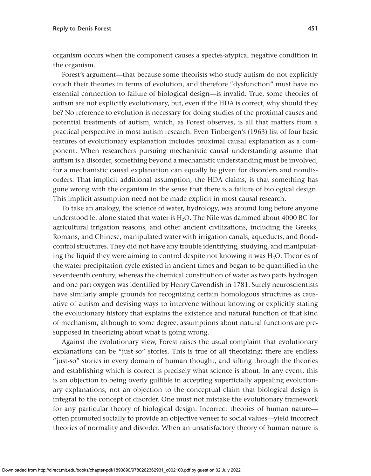#### **Reply to Denis Forest 451**

organism occurs when the component causes a species-atypical negative condition in the organism.

Forest's argument—that because some theorists who study autism do not explicitly couch their theories in terms of evolution, and therefore "dysfunction" must have no essential connection to failure of biological design—is invalid. True, some theories of autism are not explicitly evolutionary, but, even if the HDA is correct, why should they be? No reference to evolution is necessary for doing studies of the proximal causes and potential treatments of autism, which, as Forest observes, is all that matters from a practical perspective in most autism research. Even Tinbergen's (1963) list of four basic features of evolutionary explanation includes proximal causal explanation as a component. When researchers pursuing mechanistic causal understanding assume that autism is a disorder, something beyond a mechanistic understanding must be involved, for a mechanistic causal explanation can equally be given for disorders and nondisorders. That implicit additional assumption, the HDA claims, is that something has gone wrong with the organism in the sense that there is a failure of biological design. This implicit assumption need not be made explicit in most causal research.

To take an analogy, the science of water, hydrology, was around long before anyone understood let alone stated that water is  $H<sub>2</sub>O$ . The Nile was dammed about 4000 BC for agricultural irrigation reasons, and other ancient civilizations, including the Greeks, Romans, and Chinese, manipulated water with irrigation canals, aqueducts, and floodcontrol structures. They did not have any trouble identifying, studying, and manipulating the liquid they were aiming to control despite not knowing it was  $H_2O$ . Theories of the water precipitation cycle existed in ancient times and began to be quantified in the seventeenth century, whereas the chemical constitution of water as two parts hydrogen and one part oxygen was identified by Henry Cavendish in 1781. Surely neuroscientists have similarly ample grounds for recognizing certain homologous structures as causative of autism and devising ways to intervene without knowing or explicitly stating the evolutionary history that explains the existence and natural function of that kind of mechanism, although to some degree, assumptions about natural functions are presupposed in theorizing about what is going wrong.

Against the evolutionary view, Forest raises the usual complaint that evolutionary explanations can be "just-so" stories. This is true of all theorizing; there are endless "just-so" stories in every domain of human thought, and sifting through the theories and establishing which is correct is precisely what science is about. In any event, this is an objection to being overly gullible in accepting superficially appealing evolutionary explanations, not an objection to the conceptual claim that biological design is integral to the concept of disorder. One must not mistake the evolutionary framework for any particular theory of biological design. Incorrect theories of human nature often promoted socially to provide an objective veneer to social values—yield incorrect theories of normality and disorder. When an unsatisfactory theory of human nature is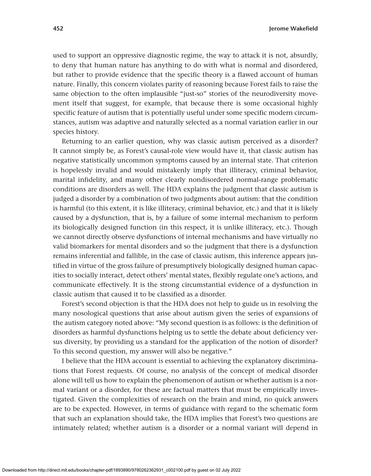used to support an oppressive diagnostic regime, the way to attack it is not, absurdly, to deny that human nature has anything to do with what is normal and disordered, but rather to provide evidence that the specific theory is a flawed account of human nature. Finally, this concern violates parity of reasoning because Forest fails to raise the same objection to the often implausible "just-so" stories of the neurodiversity movement itself that suggest, for example, that because there is some occasional highly specific feature of autism that is potentially useful under some specific modern circumstances, autism was adaptive and naturally selected as a normal variation earlier in our species history.

Returning to an earlier question, why was classic autism perceived as a disorder? It cannot simply be, as Forest's causal-role view would have it, that classic autism has negative statistically uncommon symptoms caused by an internal state. That criterion is hopelessly invalid and would mistakenly imply that illiteracy, criminal behavior, marital infidelity, and many other clearly nondisordered normal-range problematic conditions are disorders as well. The HDA explains the judgment that classic autism is judged a disorder by a combination of two judgments about autism: that the condition is harmful (to this extent, it is like illiteracy, criminal behavior, etc.) and that it is likely caused by a dysfunction, that is, by a failure of some internal mechanism to perform its biologically designed function (in this respect, it is unlike illiteracy, etc.). Though we cannot directly observe dysfunctions of internal mechanisms and have virtually no valid biomarkers for mental disorders and so the judgment that there is a dysfunction remains inferential and fallible, in the case of classic autism, this inference appears justified in virtue of the gross failure of presumptively biologically designed human capacities to socially interact, detect others' mental states, flexibly regulate one's actions, and communicate effectively. It is the strong circumstantial evidence of a dysfunction in classic autism that caused it to be classified as a disorder.

Forest's second objection is that the HDA does not help to guide us in resolving the many nosological questions that arise about autism given the series of expansions of the autism category noted above: "My second question is as follows: is the definition of disorders as harmful dysfunctions helping us to settle the debate about deficiency versus diversity, by providing us a standard for the application of the notion of disorder? To this second question, my answer will also be negative."

I believe that the HDA account is essential to achieving the explanatory discriminations that Forest requests. Of course, no analysis of the concept of medical disorder alone will tell us how to explain the phenomenon of autism or whether autism is a normal variant or a disorder, for these are factual matters that must be empirically investigated. Given the complexities of research on the brain and mind, no quick answers are to be expected. However, in terms of guidance with regard to the schematic form that such an explanation should take, the HDA implies that Forest's two questions are intimately related; whether autism is a disorder or a normal variant will depend in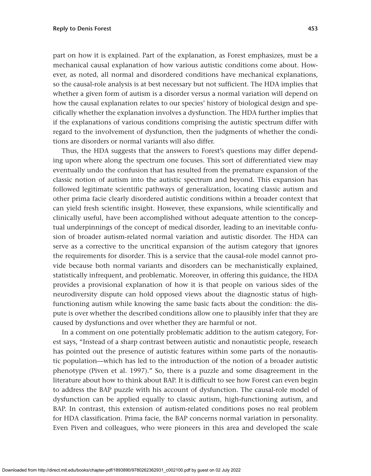part on how it is explained. Part of the explanation, as Forest emphasizes, must be a mechanical causal explanation of how various autistic conditions come about. However, as noted, all normal and disordered conditions have mechanical explanations, so the causal-role analysis is at best necessary but not sufficient. The HDA implies that whether a given form of autism is a disorder versus a normal variation will depend on how the causal explanation relates to our species' history of biological design and specifically whether the explanation involves a dysfunction. The HDA further implies that if the explanations of various conditions comprising the autistic spectrum differ with regard to the involvement of dysfunction, then the judgments of whether the conditions are disorders or normal variants will also differ.

Thus, the HDA suggests that the answers to Forest's questions may differ depending upon where along the spectrum one focuses. This sort of differentiated view may eventually undo the confusion that has resulted from the premature expansion of the classic notion of autism into the autistic spectrum and beyond. This expansion has followed legitimate scientific pathways of generalization, locating classic autism and other prima facie clearly disordered autistic conditions within a broader context that can yield fresh scientific insight. However, these expansions, while scientifically and clinically useful, have been accomplished without adequate attention to the conceptual underpinnings of the concept of medical disorder, leading to an inevitable confusion of broader autism-related normal variation and autistic disorder. The HDA can serve as a corrective to the uncritical expansion of the autism category that ignores the requirements for disorder. This is a service that the causal-role model cannot provide because both normal variants and disorders can be mechanistically explained, statistically infrequent, and problematic. Moreover, in offering this guidance, the HDA provides a provisional explanation of how it is that people on various sides of the neurodiversity dispute can hold opposed views about the diagnostic status of highfunctioning autism while knowing the same basic facts about the condition: the dispute is over whether the described conditions allow one to plausibly infer that they are caused by dysfunctions and over whether they are harmful or not.

In a comment on one potentially problematic addition to the autism category, Forest says, "Instead of a sharp contrast between autistic and nonautistic people, research has pointed out the presence of autistic features within some parts of the nonautistic population—which has led to the introduction of the notion of a broader autistic phenotype (Piven et al. 1997)." So, there is a puzzle and some disagreement in the literature about how to think about BAP. It is difficult to see how Forest can even begin to address the BAP puzzle with his account of dysfunction. The causal-role model of dysfunction can be applied equally to classic autism, high-functioning autism, and BAP. In contrast, this extension of autism-related conditions poses no real problem for HDA classification. Prima facie, the BAP concerns normal variation in personality. Even Piven and colleagues, who were pioneers in this area and developed the scale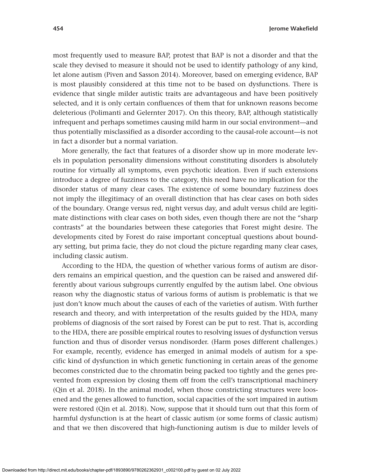most frequently used to measure BAP, protest that BAP is not a disorder and that the scale they devised to measure it should not be used to identify pathology of any kind, let alone autism (Piven and Sasson 2014). Moreover, based on emerging evidence, BAP is most plausibly considered at this time not to be based on dysfunctions. There is evidence that single milder autistic traits are advantageous and have been positively selected, and it is only certain confluences of them that for unknown reasons become deleterious (Polimanti and Gelernter 2017). On this theory, BAP, although statistically infrequent and perhaps sometimes causing mild harm in our social environment—and thus potentially misclassified as a disorder according to the causal-role account—is not in fact a disorder but a normal variation.

More generally, the fact that features of a disorder show up in more moderate levels in population personality dimensions without constituting disorders is absolutely routine for virtually all symptoms, even psychotic ideation. Even if such extensions introduce a degree of fuzziness to the category, this need have no implication for the disorder status of many clear cases. The existence of some boundary fuzziness does not imply the illegitimacy of an overall distinction that has clear cases on both sides of the boundary. Orange versus red, night versus day, and adult versus child are legitimate distinctions with clear cases on both sides, even though there are not the "sharp contrasts" at the boundaries between these categories that Forest might desire. The developments cited by Forest do raise important conceptual questions about boundary setting, but prima facie, they do not cloud the picture regarding many clear cases, including classic autism.

According to the HDA, the question of whether various forms of autism are disorders remains an empirical question, and the question can be raised and answered differently about various subgroups currently engulfed by the autism label. One obvious reason why the diagnostic status of various forms of autism is problematic is that we just don't know much about the causes of each of the varieties of autism. With further research and theory, and with interpretation of the results guided by the HDA, many problems of diagnosis of the sort raised by Forest can be put to rest. That is, according to the HDA, there are possible empirical routes to resolving issues of dysfunction versus function and thus of disorder versus nondisorder. (Harm poses different challenges.) For example, recently, evidence has emerged in animal models of autism for a specific kind of dysfunction in which genetic functioning in certain areas of the genome becomes constricted due to the chromatin being packed too tightly and the genes prevented from expression by closing them off from the cell's transcriptional machinery (Qin et al. 2018). In the animal model, when those constricting structures were loosened and the genes allowed to function, social capacities of the sort impaired in autism were restored (Qin et al. 2018). Now, suppose that it should turn out that this form of harmful dysfunction is at the heart of classic autism (or some forms of classic autism) and that we then discovered that high-functioning autism is due to milder levels of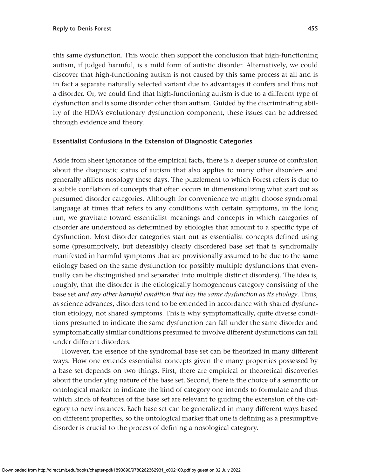this same dysfunction. This would then support the conclusion that high-functioning autism, if judged harmful, is a mild form of autistic disorder. Alternatively, we could discover that high-functioning autism is not caused by this same process at all and is in fact a separate naturally selected variant due to advantages it confers and thus not a disorder. Or, we could find that high-functioning autism is due to a different type of dysfunction and is some disorder other than autism. Guided by the discriminating ability of the HDA's evolutionary dysfunction component, these issues can be addressed through evidence and theory.

#### **Essentialist Confusions in the Extension of Diagnostic Categories**

Aside from sheer ignorance of the empirical facts, there is a deeper source of confusion about the diagnostic status of autism that also applies to many other disorders and generally afflicts nosology these days. The puzzlement to which Forest refers is due to a subtle conflation of concepts that often occurs in dimensionalizing what start out as presumed disorder categories. Although for convenience we might choose syndromal language at times that refers to any conditions with certain symptoms, in the long run, we gravitate toward essentialist meanings and concepts in which categories of disorder are understood as determined by etiologies that amount to a specific type of dysfunction. Most disorder categories start out as essentialist concepts defined using some (presumptively, but defeasibly) clearly disordered base set that is syndromally manifested in harmful symptoms that are provisionally assumed to be due to the same etiology based on the same dysfunction (or possibly multiple dysfunctions that eventually can be distinguished and separated into multiple distinct disorders). The idea is, roughly, that the disorder is the etiologically homogeneous category consisting of the base set *and any other harmful condition that has the same dysfunction as its etiology*. Thus, as science advances, disorders tend to be extended in accordance with shared dysfunction etiology, not shared symptoms. This is why symptomatically, quite diverse conditions presumed to indicate the same dysfunction can fall under the same disorder and symptomatically similar conditions presumed to involve different dysfunctions can fall under different disorders.

However, the essence of the syndromal base set can be theorized in many different ways. How one extends essentialist concepts given the many properties possessed by a base set depends on two things. First, there are empirical or theoretical discoveries about the underlying nature of the base set. Second, there is the choice of a semantic or ontological marker to indicate the kind of category one intends to formulate and thus which kinds of features of the base set are relevant to guiding the extension of the category to new instances. Each base set can be generalized in many different ways based on different properties, so the ontological marker that one is defining as a presumptive disorder is crucial to the process of defining a nosological category.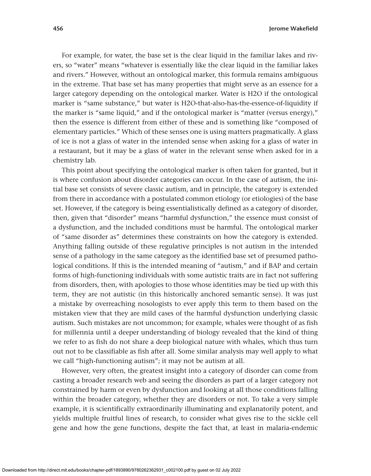For example, for water, the base set is the clear liquid in the familiar lakes and rivers, so "water" means "whatever is essentially like the clear liquid in the familiar lakes and rivers." However, without an ontological marker, this formula remains ambiguous in the extreme. That base set has many properties that might serve as an essence for a larger category depending on the ontological marker. Water is H2O if the ontological marker is "same substance," but water is H2O-that-also-has-the-essence-of-liquidity if the marker is "same liquid," and if the ontological marker is "matter (versus energy)," then the essence is different from either of these and is something like "composed of elementary particles." Which of these senses one is using matters pragmatically. A glass of ice is not a glass of water in the intended sense when asking for a glass of water in a restaurant, but it may be a glass of water in the relevant sense when asked for in a chemistry lab.

This point about specifying the ontological marker is often taken for granted, but it is where confusion about disorder categories can occur. In the case of autism, the initial base set consists of severe classic autism, and in principle, the category is extended from there in accordance with a postulated common etiology (or etiologies) of the base set. However, if the category is being essentialistically defined as a category of disorder, then, given that "disorder" means "harmful dysfunction," the essence must consist of a dysfunction, and the included conditions must be harmful. The ontological marker of "same disorder as" determines these constraints on how the category is extended. Anything falling outside of these regulative principles is not autism in the intended sense of a pathology in the same category as the identified base set of presumed pathological conditions. If this is the intended meaning of "autism," and if BAP and certain forms of high-functioning individuals with some autistic traits are in fact not suffering from disorders, then, with apologies to those whose identities may be tied up with this term, they are not autistic (in this historically anchored semantic sense). It was just a mistake by overreaching nosologists to ever apply this term to them based on the mistaken view that they are mild cases of the harmful dysfunction underlying classic autism. Such mistakes are not uncommon; for example, whales were thought of as fish for millennia until a deeper understanding of biology revealed that the kind of thing we refer to as fish do not share a deep biological nature with whales, which thus turn out not to be classifiable as fish after all. Some similar analysis may well apply to what we call "high-functioning autism"; it may not be autism at all.

However, very often, the greatest insight into a category of disorder can come from casting a broader research web and seeing the disorders as part of a larger category not constrained by harm or even by dysfunction and looking at all those conditions falling within the broader category, whether they are disorders or not. To take a very simple example, it is scientifically extraordinarily illuminating and explanatorily potent, and yields multiple fruitful lines of research, to consider what gives rise to the sickle cell gene and how the gene functions, despite the fact that, at least in malaria-endemic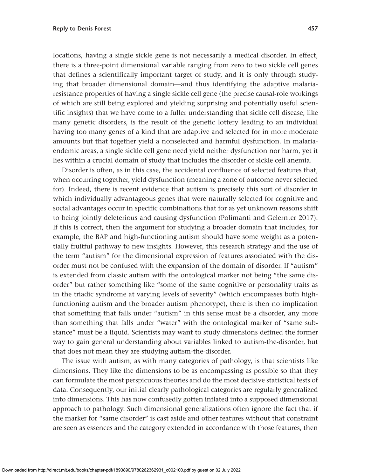locations, having a single sickle gene is not necessarily a medical disorder. In effect, there is a three-point dimensional variable ranging from zero to two sickle cell genes that defines a scientifically important target of study, and it is only through studying that broader dimensional domain—and thus identifying the adaptive malariaresistance properties of having a single sickle cell gene (the precise causal-role workings of which are still being explored and yielding surprising and potentially useful scientific insights) that we have come to a fuller understanding that sickle cell disease, like many genetic disorders, is the result of the genetic lottery leading to an individual having too many genes of a kind that are adaptive and selected for in more moderate amounts but that together yield a nonselected and harmful dysfunction. In malariaendemic areas, a single sickle cell gene need yield neither dysfunction nor harm, yet it lies within a crucial domain of study that includes the disorder of sickle cell anemia.

Disorder is often, as in this case, the accidental confluence of selected features that, when occurring together, yield dysfunction (meaning a zone of outcome never selected for). Indeed, there is recent evidence that autism is precisely this sort of disorder in which individually advantageous genes that were naturally selected for cognitive and social advantages occur in specific combinations that for as yet unknown reasons shift to being jointly deleterious and causing dysfunction (Polimanti and Gelernter 2017). If this is correct, then the argument for studying a broader domain that includes, for example, the BAP and high-functioning autism should have some weight as a potentially fruitful pathway to new insights. However, this research strategy and the use of the term "autism" for the dimensional expression of features associated with the disorder must not be confused with the expansion of the domain of disorder. If "autism" is extended from classic autism with the ontological marker not being "the same disorder" but rather something like "some of the same cognitive or personality traits as in the triadic syndrome at varying levels of severity" (which encompasses both highfunctioning autism and the broader autism phenotype), there is then no implication that something that falls under "autism" in this sense must be a disorder, any more than something that falls under "water" with the ontological marker of "same substance" must be a liquid. Scientists may want to study dimensions defined the former way to gain general understanding about variables linked to autism-the-disorder, but that does not mean they are studying autism-the-disorder.

The issue with autism, as with many categories of pathology, is that scientists like dimensions. They like the dimensions to be as encompassing as possible so that they can formulate the most perspicuous theories and do the most decisive statistical tests of data. Consequently, our initial clearly pathological categories are regularly generalized into dimensions. This has now confusedly gotten inflated into a supposed dimensional approach to pathology. Such dimensional generalizations often ignore the fact that if the marker for "same disorder" is cast aside and other features without that constraint are seen as essences and the category extended in accordance with those features, then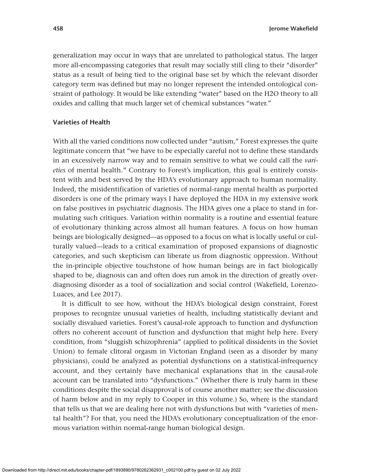generalization may occur in ways that are unrelated to pathological status. The larger more all-encompassing categories that result may socially still cling to their "disorder" status as a result of being tied to the original base set by which the relevant disorder category term was defined but may no longer represent the intended ontological constraint of pathology. It would be like extending "water" based on the H2O theory to all oxides and calling that much larger set of chemical substances "water."

#### **Varieties of Health**

With all the varied conditions now collected under "autism," Forest expresses the quite legitimate concern that "we have to be especially careful not to define these standards in an excessively narrow way and to remain sensitive to what we could call the *varieties* of mental health." Contrary to Forest's implication, this goal is entirely consistent with and best served by the HDA's evolutionary approach to human normality. Indeed, the misidentification of varieties of normal-range mental health as purported disorders is one of the primary ways I have deployed the HDA in my extensive work on false positives in psychiatric diagnosis. The HDA gives one a place to stand in formulating such critiques. Variation within normality is a routine and essential feature of evolutionary thinking across almost all human features. A focus on how human beings are biologically designed—as opposed to a focus on what is locally useful or culturally valued—leads to a critical examination of proposed expansions of diagnostic categories, and such skepticism can liberate us from diagnostic oppression. Without the in-principle objective touchstone of how human beings are in fact biologically shaped to be, diagnosis can and often does run amok in the direction of greatly overdiagnosing disorder as a tool of socialization and social control (Wakefield, Lorenzo-Luaces, and Lee 2017).

It is difficult to see how, without the HDA's biological design constraint, Forest proposes to recognize unusual varieties of health, including statistically deviant and socially disvalued varieties. Forest's causal-role approach to function and dysfunction offers no coherent account of function and dysfunction that might help here. Every condition, from "sluggish schizophrenia" (applied to political dissidents in the Soviet Union) to female clitoral orgasm in Victorian England (seen as a disorder by many physicians), could be analyzed as potential dysfunctions on a statistical-infrequency account, and they certainly have mechanical explanations that in the causal-role account can be translated into "dysfunctions." (Whether there is truly harm in these conditions despite the social disapproval is of course another matter; see the discussion of harm below and in my reply to Cooper in this volume.) So, where is the standard that tells us that we are dealing here not with dysfunctions but with "varieties of mental health"? For that, you need the HDA's evolutionary conceptualization of the enormous variation within normal-range human biological design.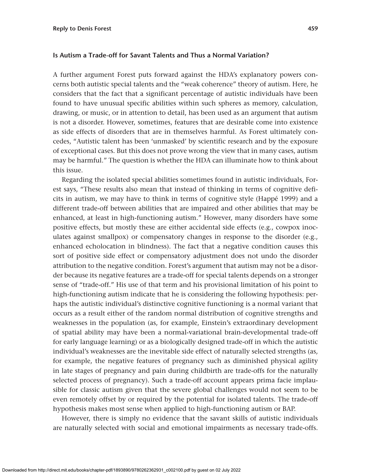#### **Is Autism a Trade-off for Savant Talents and Thus a Normal Variation?**

A further argument Forest puts forward against the HDA's explanatory powers concerns both autistic special talents and the "weak coherence" theory of autism. Here, he considers that the fact that a significant percentage of autistic individuals have been found to have unusual specific abilities within such spheres as memory, calculation, drawing, or music, or in attention to detail, has been used as an argument that autism is not a disorder. However, sometimes, features that are desirable come into existence as side effects of disorders that are in themselves harmful. As Forest ultimately concedes, "Autistic talent has been 'unmasked' by scientific research and by the exposure of exceptional cases. But this does not prove wrong the view that in many cases, autism may be harmful." The question is whether the HDA can illuminate how to think about this issue.

Regarding the isolated special abilities sometimes found in autistic individuals, Forest says, "These results also mean that instead of thinking in terms of cognitive deficits in autism, we may have to think in terms of cognitive style (Happé 1999) and a different trade-off between abilities that are impaired and other abilities that may be enhanced, at least in high-functioning autism." However, many disorders have some positive effects, but mostly these are either accidental side effects (e.g., cowpox inoculates against smallpox) or compensatory changes in response to the disorder (e.g., enhanced echolocation in blindness). The fact that a negative condition causes this sort of positive side effect or compensatory adjustment does not undo the disorder attribution to the negative condition. Forest's argument that autism may not be a disorder because its negative features are a trade-off for special talents depends on a stronger sense of "trade-off." His use of that term and his provisional limitation of his point to high-functioning autism indicate that he is considering the following hypothesis: perhaps the autistic individual's distinctive cognitive functioning is a normal variant that occurs as a result either of the random normal distribution of cognitive strengths and weaknesses in the population (as, for example, Einstein's extraordinary development of spatial ability may have been a normal-variational brain-developmental trade-off for early language learning) or as a biologically designed trade-off in which the autistic individual's weaknesses are the inevitable side effect of naturally selected strengths (as, for example, the negative features of pregnancy such as diminished physical agility in late stages of pregnancy and pain during childbirth are trade-offs for the naturally selected process of pregnancy). Such a trade-off account appears prima facie implausible for classic autism given that the severe global challenges would not seem to be even remotely offset by or required by the potential for isolated talents. The trade-off hypothesis makes most sense when applied to high-functioning autism or BAP.

However, there is simply no evidence that the savant skills of autistic individuals are naturally selected with social and emotional impairments as necessary trade-offs.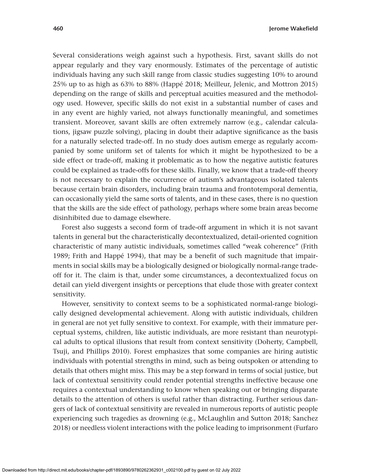Several considerations weigh against such a hypothesis. First, savant skills do not appear regularly and they vary enormously. Estimates of the percentage of autistic individuals having any such skill range from classic studies suggesting 10% to around 25% up to as high as 63% to 88% (Happé 2018; Meilleur, Jelenic, and Mottron 2015) depending on the range of skills and perceptual acuities measured and the methodology used. However, specific skills do not exist in a substantial number of cases and in any event are highly varied, not always functionally meaningful, and sometimes transient. Moreover, savant skills are often extremely narrow (e.g., calendar calculations, jigsaw puzzle solving), placing in doubt their adaptive significance as the basis for a naturally selected trade-off. In no study does autism emerge as regularly accompanied by some uniform set of talents for which it might be hypothesized to be a side effect or trade-off, making it problematic as to how the negative autistic features could be explained as trade-offs for these skills. Finally, we know that a trade-off theory is not necessary to explain the occurrence of autism's advantageous isolated talents because certain brain disorders, including brain trauma and frontotemporal dementia, can occasionally yield the same sorts of talents, and in these cases, there is no question that the skills are the side effect of pathology, perhaps where some brain areas become disinhibited due to damage elsewhere.

Forest also suggests a second form of trade-off argument in which it is not savant talents in general but the characteristically decontextualized, detail-oriented cognition characteristic of many autistic individuals, sometimes called "weak coherence" (Frith 1989; Frith and Happé 1994), that may be a benefit of such magnitude that impairments in social skills may be a biologically designed or biologically normal-range tradeoff for it. The claim is that, under some circumstances, a decontextualized focus on detail can yield divergent insights or perceptions that elude those with greater context sensitivity.

However, sensitivity to context seems to be a sophisticated normal-range biologically designed developmental achievement. Along with autistic individuals, children in general are not yet fully sensitive to context. For example, with their immature perceptual systems, children, like autistic individuals, are more resistant than neurotypical adults to optical illusions that result from context sensitivity (Doherty, Campbell, Tsuji, and Phillips 2010). Forest emphasizes that some companies are hiring autistic individuals with potential strengths in mind, such as being outspoken or attending to details that others might miss. This may be a step forward in terms of social justice, but lack of contextual sensitivity could render potential strengths ineffective because one requires a contextual understanding to know when speaking out or bringing disparate details to the attention of others is useful rather than distracting. Further serious dangers of lack of contextual sensitivity are revealed in numerous reports of autistic people experiencing such tragedies as drowning (e.g., McLaughlin and Sutton 2018; Sanchez 2018) or needless violent interactions with the police leading to imprisonment (Furfaro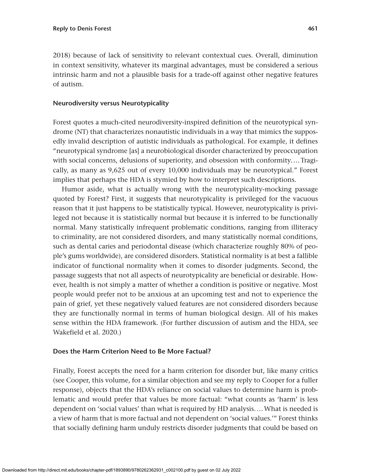2018) because of lack of sensitivity to relevant contextual cues. Overall, diminution in context sensitivity, whatever its marginal advantages, must be considered a serious intrinsic harm and not a plausible basis for a trade-off against other negative features of autism.

#### **Neurodiversity versus Neurotypicality**

Forest quotes a much-cited neurodiversity-inspired definition of the neurotypical syndrome (NT) that characterizes nonautistic individuals in a way that mimics the supposedly invalid description of autistic individuals as pathological. For example, it defines "neurotypical syndrome [as] a neurobiological disorder characterized by preoccupation with social concerns, delusions of superiority, and obsession with conformity.…Tragically, as many as 9,625 out of every 10,000 individuals may be neurotypical." Forest implies that perhaps the HDA is stymied by how to interpret such descriptions.

Humor aside, what is actually wrong with the neurotypicality-mocking passage quoted by Forest? First, it suggests that neurotypicality is privileged for the vacuous reason that it just happens to be statistically typical. However, neurotypicality is privileged not because it is statistically normal but because it is inferred to be functionally normal. Many statistically infrequent problematic conditions, ranging from illiteracy to criminality, are not considered disorders, and many statistically normal conditions, such as dental caries and periodontal disease (which characterize roughly 80% of people's gums worldwide), are considered disorders. Statistical normality is at best a fallible indicator of functional normality when it comes to disorder judgments. Second, the passage suggests that not all aspects of neurotypicality are beneficial or desirable. However, health is not simply a matter of whether a condition is positive or negative. Most people would prefer not to be anxious at an upcoming test and not to experience the pain of grief, yet these negatively valued features are not considered disorders because they are functionally normal in terms of human biological design. All of his makes sense within the HDA framework. (For further discussion of autism and the HDA, see Wakefield et al. 2020.)

#### **Does the Harm Criterion Need to Be More Factual?**

Finally, Forest accepts the need for a harm criterion for disorder but, like many critics (see Cooper, this volume, for a similar objection and see my reply to Cooper for a fuller response), objects that the HDA's reliance on social values to determine harm is problematic and would prefer that values be more factual: "what counts as 'harm' is less dependent on 'social values' than what is required by HD analysis.…What is needed is a view of harm that is more factual and not dependent on 'social values.'" Forest thinks that socially defining harm unduly restricts disorder judgments that could be based on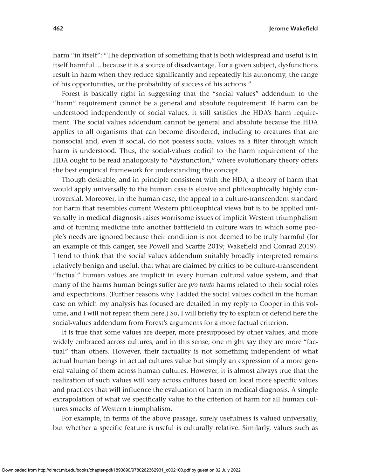harm "in itself": "The deprivation of something that is both widespread and useful is in itself harmful…because it is a source of disadvantage. For a given subject, dysfunctions result in harm when they reduce significantly and repeatedly his autonomy, the range of his opportunities, or the probability of success of his actions."

Forest is basically right in suggesting that the "social values" addendum to the "harm" requirement cannot be a general and absolute requirement. If harm can be understood independently of social values, it still satisfies the HDA's harm requirement. The social values addendum cannot be general and absolute because the HDA applies to all organisms that can become disordered, including to creatures that are nonsocial and, even if social, do not possess social values as a filter through which harm is understood. Thus, the social-values codicil to the harm requirement of the HDA ought to be read analogously to "dysfunction," where evolutionary theory offers the best empirical framework for understanding the concept.

Though desirable, and in principle consistent with the HDA, a theory of harm that would apply universally to the human case is elusive and philosophically highly controversial. Moreover, in the human case, the appeal to a culture-transcendent standard for harm that resembles current Western philosophical views but is to be applied universally in medical diagnosis raises worrisome issues of implicit Western triumphalism and of turning medicine into another battlefield in culture wars in which some people's needs are ignored because their condition is not deemed to be truly harmful (for an example of this danger, see Powell and Scarffe 2019; Wakefield and Conrad 2019). I tend to think that the social values addendum suitably broadly interpreted remains relatively benign and useful, that what are claimed by critics to be culture-transcendent "factual" human values are implicit in every human cultural value system, and that many of the harms human beings suffer are *pro tanto* harms related to their social roles and expectations. (Further reasons why I added the social values codicil in the human case on which my analysis has focused are detailed in my reply to Cooper in this volume, and I will not repeat them here.) So, I will briefly try to explain or defend here the social-values addendum from Forest's arguments for a more factual criterion.

It is true that some values are deeper, more presupposed by other values, and more widely embraced across cultures, and in this sense, one might say they are more "factual" than others. However, their factuality is not something independent of what actual human beings in actual cultures value but simply an expression of a more general valuing of them across human cultures. However, it is almost always true that the realization of such values will vary across cultures based on local more specific values and practices that will influence the evaluation of harm in medical diagnosis. A simple extrapolation of what we specifically value to the criterion of harm for all human cultures smacks of Western triumphalism.

For example, in terms of the above passage, surely usefulness is valued universally, but whether a specific feature is useful is culturally relative. Similarly, values such as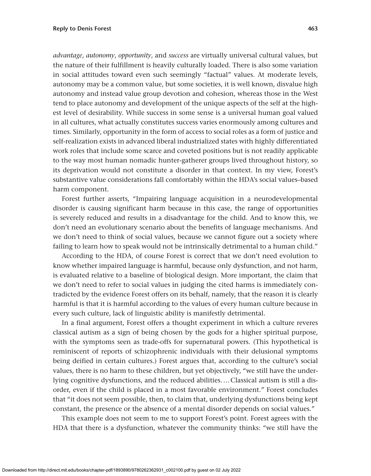*advantage*, *autonomy*, *opportunity*, and *success* are virtually universal cultural values, but the nature of their fulfillment is heavily culturally loaded. There is also some variation in social attitudes toward even such seemingly "factual" values. At moderate levels, autonomy may be a common value, but some societies, it is well known, disvalue high autonomy and instead value group devotion and cohesion, whereas those in the West tend to place autonomy and development of the unique aspects of the self at the highest level of desirability. While success in some sense is a universal human goal valued in all cultures, what actually constitutes success varies enormously among cultures and times. Similarly, opportunity in the form of access to social roles as a form of justice and self-realization exists in advanced liberal industrialized states with highly differentiated work roles that include some scarce and coveted positions but is not readily applicable to the way most human nomadic hunter-gatherer groups lived throughout history, so its deprivation would not constitute a disorder in that context. In my view, Forest's substantive value considerations fall comfortably within the HDA's social values–based harm component.

Forest further asserts, "Impairing language acquisition in a neurodevelopmental disorder is causing significant harm because in this case, the range of opportunities is severely reduced and results in a disadvantage for the child. And to know this, we don't need an evolutionary scenario about the benefits of language mechanisms. And we don't need to think of social values, because we cannot figure out a society where failing to learn how to speak would not be intrinsically detrimental to a human child."

According to the HDA, of course Forest is correct that we don't need evolution to know whether impaired language is harmful, because only dysfunction, and not harm, is evaluated relative to a baseline of biological design. More important, the claim that we don't need to refer to social values in judging the cited harms is immediately contradicted by the evidence Forest offers on its behalf, namely, that the reason it is clearly harmful is that it is harmful according to the values of every human culture because in every such culture, lack of linguistic ability is manifestly detrimental.

In a final argument, Forest offers a thought experiment in which a culture reveres classical autism as a sign of being chosen by the gods for a higher spiritual purpose, with the symptoms seen as trade-offs for supernatural powers. (This hypothetical is reminiscent of reports of schizophrenic individuals with their delusional symptoms being deified in certain cultures.) Forest argues that, according to the culture's social values, there is no harm to these children, but yet objectively, "we still have the underlying cognitive dysfunctions, and the reduced abilities.…Classical autism is still a disorder, even if the child is placed in a most favorable environment." Forest concludes that "it does not seem possible, then, to claim that, underlying dysfunctions being kept constant, the presence or the absence of a mental disorder depends on social values."

This example does not seem to me to support Forest's point. Forest agrees with the HDA that there is a dysfunction, whatever the community thinks: "we still have the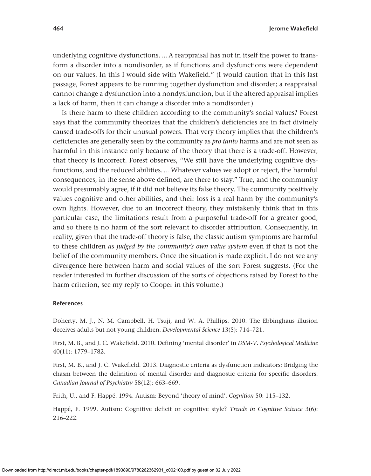underlying cognitive dysfunctions.…A reappraisal has not in itself the power to transform a disorder into a nondisorder, as if functions and dysfunctions were dependent on our values. In this I would side with Wakefield." (I would caution that in this last passage, Forest appears to be running together dysfunction and disorder; a reappraisal cannot change a dysfunction into a nondysfunction, but if the altered appraisal implies a lack of harm, then it can change a disorder into a nondisorder.)

Is there harm to these children according to the community's social values? Forest says that the community theorizes that the children's deficiencies are in fact divinely caused trade-offs for their unusual powers. That very theory implies that the children's deficiencies are generally seen by the community as *pro tanto* harms and are not seen as harmful in this instance only because of the theory that there is a trade-off. However, that theory is incorrect. Forest observes, "We still have the underlying cognitive dysfunctions, and the reduced abilities.…Whatever values we adopt or reject, the harmful consequences, in the sense above defined, are there to stay." True, and the community would presumably agree, if it did not believe its false theory. The community positively values cognitive and other abilities, and their loss is a real harm by the community's own lights. However, due to an incorrect theory, they mistakenly think that in this particular case, the limitations result from a purposeful trade-off for a greater good, and so there is no harm of the sort relevant to disorder attribution. Consequently, in reality, given that the trade-off theory is false, the classic autism symptoms are harmful to these children *as judged by the community's own value system* even if that is not the belief of the community members. Once the situation is made explicit, I do not see any divergence here between harm and social values of the sort Forest suggests. (For the reader interested in further discussion of the sorts of objections raised by Forest to the harm criterion, see my reply to Cooper in this volume.)

#### **References**

Doherty, M. J., N. M. Campbell, H. Tsuji, and W. A. Phillips. 2010. The Ebbinghaus illusion deceives adults but not young children. *Developmental Science* 13(5): 714–721.

First, M. B., and J. C. Wakefield. 2010. Defining 'mental disorder' in *DSM-V*. *Psychological Medicine* 40(11): 1779–1782.

First, M. B., and J. C. Wakefield. 2013. Diagnostic criteria as dysfunction indicators: Bridging the chasm between the definition of mental disorder and diagnostic criteria for specific disorders. *Canadian Journal of Psychiatry* 58(12): 663–669.

Frith, U., and F. Happé. 1994. Autism: Beyond 'theory of mind'. *Cognition* 50: 115–132.

Happé, F. 1999. Autism: Cognitive deficit or cognitive style? *Trends in Cognitive Science* 3(6): 216–222.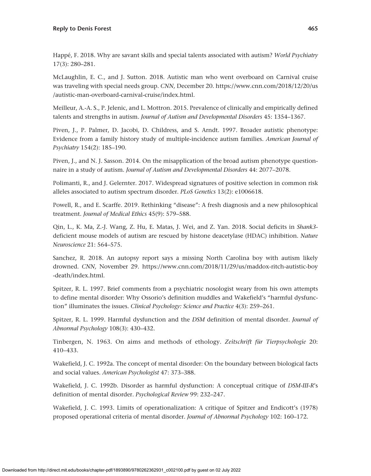Happé, F. 2018. Why are savant skills and special talents associated with autism? *World Psychiatry* 17(3): 280–281.

McLaughlin, E. C., and J. Sutton. 2018. Autistic man who went overboard on Carnival cruise was traveling with special needs group. *CNN,* December 20. [https://www.cnn.com/2018/12/20/us](https://www.cnn.com/2018/12/20/us/autistic-man-overboard-carnival-cruise/index.html) [/autistic-man-overboard-carnival-cruise/index.html.](https://www.cnn.com/2018/12/20/us/autistic-man-overboard-carnival-cruise/index.html)

Meilleur, A.-A. S., P. Jelenic, and L. Mottron. 2015. Prevalence of clinically and empirically defined talents and strengths in autism. *Journal of Autism and Developmental Disorders* 45: 1354–1367.

Piven, J., P. Palmer, D. Jacobi, D. Childress, and S. Arndt. 1997. Broader autistic phenotype: Evidence from a family history study of multiple-incidence autism families. *American Journal of Psychiatry* 154(2): 185–190.

Piven, J., and N. J. Sasson. 2014. On the misapplication of the broad autism phenotype questionnaire in a study of autism. *Journal of Autism and Developmental Disorders* 44: 2077–2078.

Polimanti, R., and J. Gelernter. 2017. Widespread signatures of positive selection in common risk alleles associated to autism spectrum disorder. *PLoS Genetics* 13(2): e1006618.

Powell, R., and E. Scarffe. 2019. Rethinking "disease": A fresh diagnosis and a new philosophical treatment. *Journal of Medical Ethics* 45(9): 579–588.

Qin, L., K. Ma, Z.-J. Wang, Z. Hu, E. Matas, J. Wei, and Z. Yan. 2018. Social deficits in *Shank3* deficient mouse models of autism are rescued by histone deacetylase (HDAC) inhibition. *Nature Neuroscience* 21: 564–575.

Sanchez, R. 2018. An autopsy report says a missing North Carolina boy with autism likely drowned. *CNN,* November 29. [https://www.cnn.com/2018/11/29/us/maddox-ritch-autistic-boy](https://www.cnn.com/2018/11/29/us/maddox-ritch-autistic-boy-death/index.html) [-death/index.html](https://www.cnn.com/2018/11/29/us/maddox-ritch-autistic-boy-death/index.html).

Spitzer, R. L. 1997. Brief comments from a psychiatric nosologist weary from his own attempts to define mental disorder: Why Ossorio's definition muddles and Wakefield's "harmful dysfunction" illuminates the issues. *Clinical Psychology: Science and Practice* 4(3): 259–261.

Spitzer, R. L. 1999. Harmful dysfunction and the *DSM* definition of mental disorder. *Journal of Abnormal Psychology* 108(3): 430–432.

Tinbergen, N. 1963. On aims and methods of ethology. *Zeitschrift für Tierpsychologie* 20: 410–433.

Wakefield, J. C. 1992a. The concept of mental disorder: On the boundary between biological facts and social values. *American Psychologist* 47: 373–388.

Wakefield, J. C. 1992b. Disorder as harmful dysfunction: A conceptual critique of *DSM-III-R*'s definition of mental disorder. *Psychological Review* 99: 232–247.

Wakefield, J. C. 1993. Limits of operationalization: A critique of Spitzer and Endicott's (1978) proposed operational criteria of mental disorder. *Journal of Abnormal Psychology* 102: 160–172.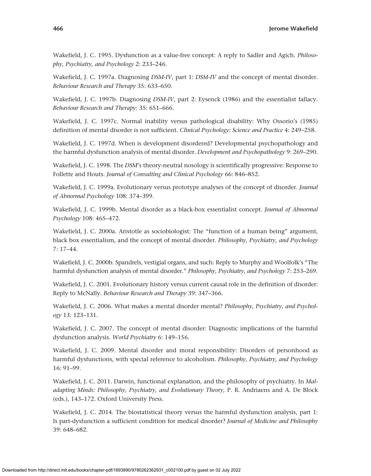Wakefield, J. C. 1995. Dysfunction as a value-free concept: A reply to Sadler and Agich. *Philosophy, Psychiatry, and Psychology* 2: 233–246.

Wakefield, J. C. 1997a. Diagnosing *DSM-IV*, part 1: *DSM-IV* and the concept of mental disorder. *Behaviour Research and Therapy* 35: 633–650.

Wakefield, J. C. 1997b. Diagnosing *DSM-IV*, part 2: Eysenck (1986) and the essentialist fallacy. *Behaviour Research and Therapy*: 35: 651–666.

Wakefield, J. C. 1997c. Normal inability versus pathological disability: Why Ossorio's (1985) definition of mental disorder is not sufficient. *Clinical Psychology: Science and Practice* 4: 249–258.

Wakefield, J. C. 1997d. When is development disordered? Developmental psychopathology and the harmful dysfunction analysis of mental disorder. *Development and Psychopathology* 9: 269–290.

Wakefield, J. C. 1998. The *DSM*'s theory-neutral nosology is scientifically progressive: Response to Follette and Houts. *Journal of Consulting and Clinical Psychology* 66: 846–852.

Wakefield, J. C. 1999a. Evolutionary versus prototype analyses of the concept of disorder. *Journal of Abnormal Psychology* 108: 374–399.

Wakefield, J. C. 1999b. Mental disorder as a black-box essentialist concept. *Journal of Abnormal Psychology* 108: 465–472.

Wakefield, J. C. 2000a. Aristotle as sociobiologist: The "function of a human being" argument, black box essentialism, and the concept of mental disorder. *Philosophy, Psychiatry, and Psychology* 7: 17–44.

Wakefield, J. C. 2000b. Spandrels, vestigial organs, and such: Reply to Murphy and Woolfolk's "The harmful dysfunction analysis of mental disorder." *Philosophy, Psychiatry, and Psychology* 7: 253–269.

Wakefield, J. C. 2001. Evolutionary history versus current causal role in the definition of disorder: Reply to McNally. *Behaviour Research and Therapy* 39: 347–366.

Wakefield, J. C. 2006. What makes a mental disorder mental? *Philosophy, Psychiatry, and Psychology* 13: 123–131.

Wakefield, J. C. 2007. The concept of mental disorder: Diagnostic implications of the harmful dysfunction analysis. *World Psychiatry* 6: 149–156.

Wakefield, J. C. 2009. Mental disorder and moral responsibility: Disorders of personhood as harmful dysfunctions, with special reference to alcoholism. *Philosophy, Psychiatry, and Psychology* 16: 91–99.

Wakefield, J. C. 2011. Darwin, functional explanation, and the philosophy of psychiatry. In *Maladapting Minds: Philosophy, Psychiatry, and Evolutionary Theory,* P. R. Andriaens and A. De Block (eds.), 143–172. Oxford University Press.

Wakefield, J. C. 2014. The biostatistical theory versus the harmful dysfunction analysis, part 1: Is part-dysfunction a sufficient condition for medical disorder? *Journal of Medicine and Philosophy* 39: 648–682.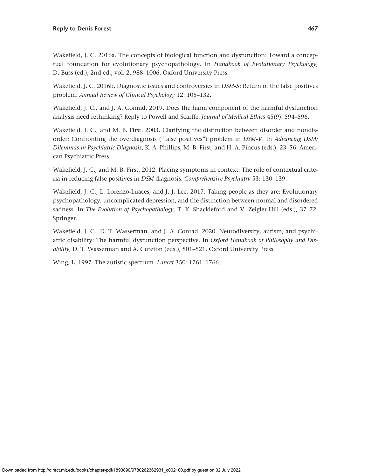Wakefield, J. C. 2016a. The concepts of biological function and dysfunction: Toward a conceptual foundation for evolutionary psychopathology. In *Handbook of Evolutionary Psychology,* D. Buss (ed.), 2nd ed., vol. 2, 988–1006. Oxford University Press.

Wakefield, J. C. 2016b. Diagnostic issues and controversies in *DSM-5*: Return of the false positives problem. *Annual Review of Clinical Psychology* 12: 105–132.

Wakefield, J. C., and J. A. Conrad. 2019. Does the harm component of the harmful dysfunction analysis need rethinking? Reply to Powell and Scarffe. *Journal of Medical Ethics* 45(9): 594–596.

Wakefield, J. C., and M. B. First. 2003. Clarifying the distinction between disorder and nondisorder: Confronting the overdiagnosis ("false positives") problem in *DSM-V*. In *Advancing DSM: Dilemmas in Psychiatric Diagnosis*, K. A. Phillips, M. B. First, and H. A. Pincus (eds.), 23–56. American Psychiatric Press.

Wakefield, J. C., and M. B. First. 2012. Placing symptoms in context: The role of contextual criteria in reducing false positives in *DSM* diagnosis. *Comprehensive Psychiatry* 53: 130–139.

Wakefield, J. C., L. Lorenzo-Luaces, and J. J. Lee. 2017. Taking people as they are: Evolutionary psychopathology, uncomplicated depression, and the distinction between normal and disordered sadness. In *The Evolution of Psychopathology,* T. K. Shackleford and V. Zeigler-Hill (eds.), 37–72. Springer.

Wakefield, J. C., D. T. Wasserman, and J. A. Conrad. 2020. Neurodiversity, autism, and psychiatric disability: The harmful dysfunction perspective. In *Oxford Handbook of Philosophy and Disability,* D. T. Wasserman and A. Cureton (eds.), 501–521. Oxford University Press.

Wing, L. 1997. The autistic spectrum. *Lancet* 350: 1761–1766.